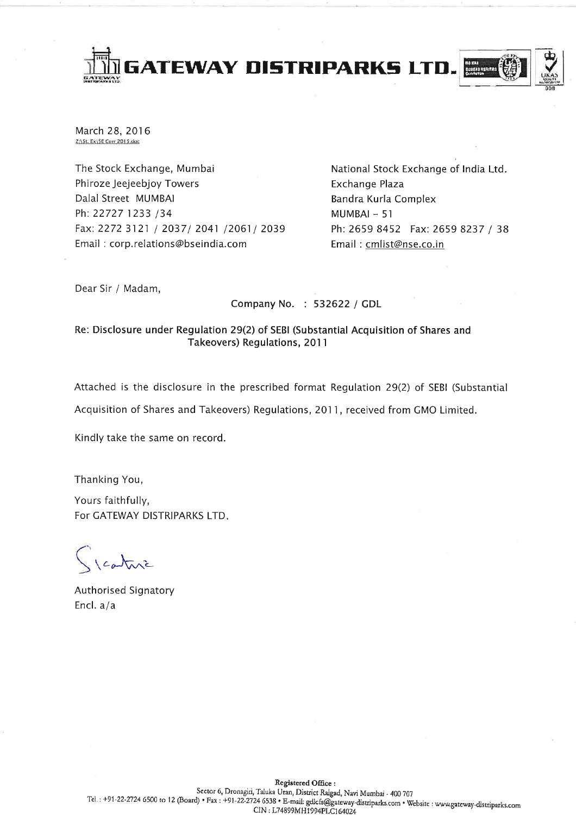

March 28, 2016 Z:\St. Ex\SE Carr 2015.doc

The Stock Exchange, Mumbai Phiroze Jeejeebjoy Towers Dalal Street MUMBAI Ph: 22727 1233 /34 Fax: 2272 3121 / 2037/ 2041 /2061/ 2039 Email: corp.relations@bseindia.com

National Stock Exchange of India Ltd. Exchange Plaza Bandra Kurla Complex  $MUMBAI - 51$ Ph: 2659 8452 Fax: 2659 8237 / 38 Email: cmlist@nse.co.in

Dear Sir / Madam,

Company No. : 532622 / GDL

### Re: Disclosure under Regulation 29(2) of SEBI (Substantial Acquisition of Shares and Takeovers) Regulations, 2011

Attached is the disclosure in the prescribed format Regulation 29(2) of SEBI (Substantial

Acquisition of Shares and Takeovers) Regulations, 2011, received from GMO Limited.

Kindly take the same on record.

Thanking You,

Yours faithfully, For GATEWAY DISTRIPARKS LTD.

1 cature

Authorised Signatory Encl.  $a/a$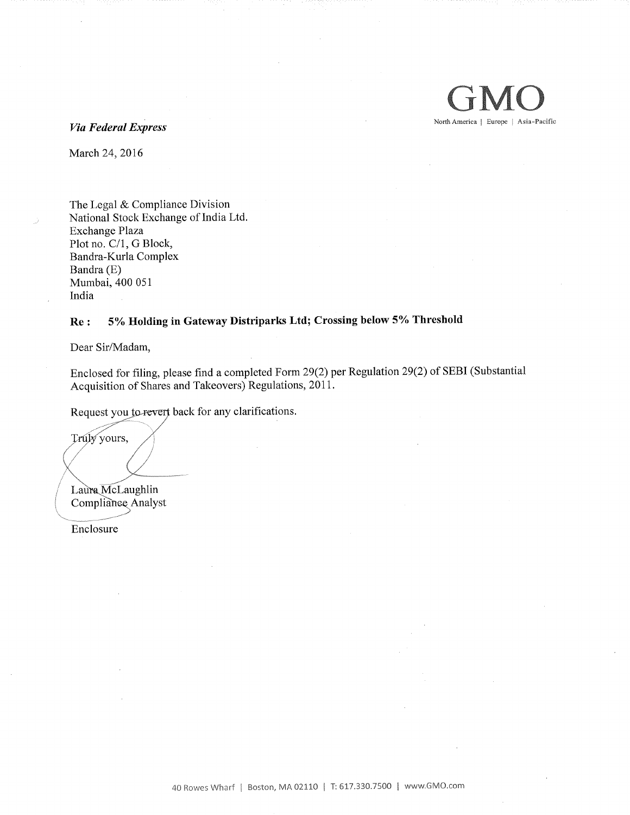

March 24, 2016

The Legal & Compliance Division National Stock Exchange of India Ltd. Exchange Plaza Plot no. C/1, G Block, Bandra-Kurla Complex Bandra (E) Mumbai, 400 051 India

#### Re : 5% Holding in Gateway Distriparks Ltd; Crossing below 5% Threshold

Dear Sir/Madam,

Enclosed for filing, please find a completed Form 29(2) per Regulation 29(2) of SEBI (Substantial Acquisition of Shares and Takeovers) Regulations, 2011.

Request you to revert back for any clarifications.

Truly yours,

Laura McLaughlin Compliance Analyst

Enclosure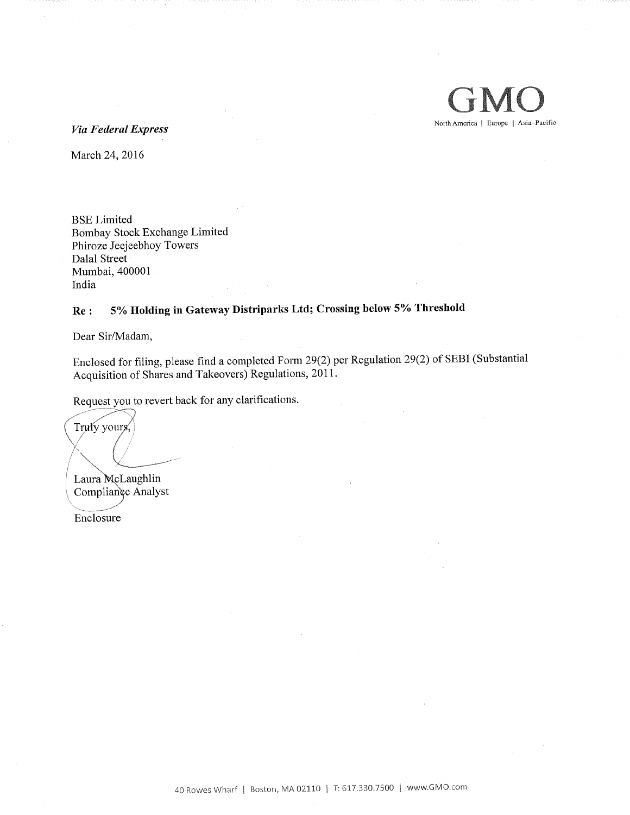

Via Federal Express

March 24, 2016

BSE Limited Bombay Stock Exchange Limited Phiroze Jeejeebhoy Towers Dalai Street Mumbai, 400001 India

# Re : 5% Holding in Gateway Distriparks Ltd; Crossing below 5% Threshold

Dear Sir/Madam,

Enclosed for filing, please find a completed Form 29(2) per Regulation 29(2) of SEBI (Substantial Acquisition of Shares and Takeovers) Regulations, 2011.

Request you to revert back for any clarifications.

Trufy yours,

Laura McLaughlin Compliance Analyst

Enclosure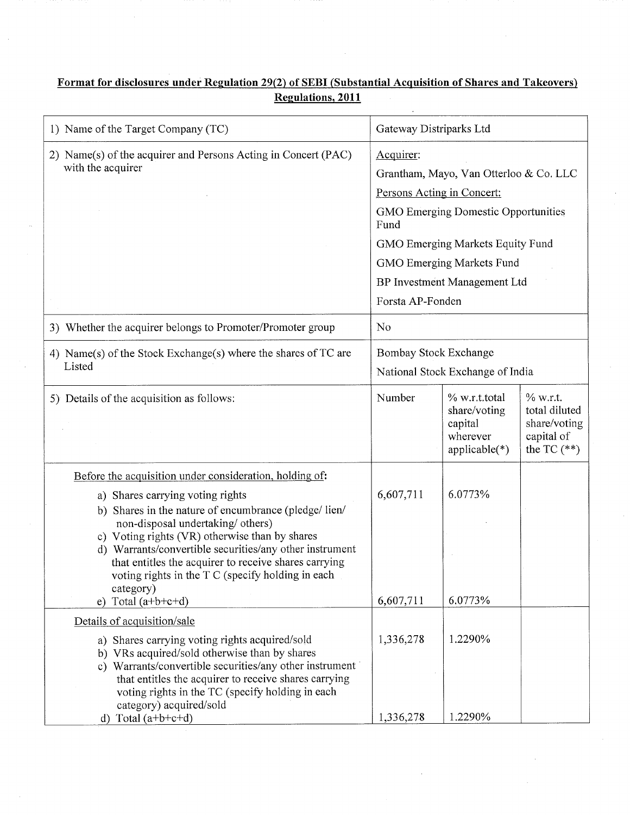## Format for disclosures under Regulation 29(2) of SEBI (Substantial Acquisition of Shares and Takeovers) Regulations, 2011

 $\ddot{\phantom{a}}$ 

| 1) Name of the Target Company (TC)                                                                                                                                                                                                                                                                                                                                                            | Gateway Distriparks Ltd                                                                       |                                                                         |                                                                            |  |
|-----------------------------------------------------------------------------------------------------------------------------------------------------------------------------------------------------------------------------------------------------------------------------------------------------------------------------------------------------------------------------------------------|-----------------------------------------------------------------------------------------------|-------------------------------------------------------------------------|----------------------------------------------------------------------------|--|
| 2) Name(s) of the acquirer and Persons Acting in Concert (PAC)                                                                                                                                                                                                                                                                                                                                | Acquirer:                                                                                     |                                                                         |                                                                            |  |
| with the acquirer                                                                                                                                                                                                                                                                                                                                                                             | Grantham, Mayo, Van Otterloo & Co. LLC                                                        |                                                                         |                                                                            |  |
|                                                                                                                                                                                                                                                                                                                                                                                               | Persons Acting in Concert:                                                                    |                                                                         |                                                                            |  |
|                                                                                                                                                                                                                                                                                                                                                                                               | <b>GMO Emerging Domestic Opportunities</b><br>Fund                                            |                                                                         |                                                                            |  |
|                                                                                                                                                                                                                                                                                                                                                                                               | GMO Emerging Markets Equity Fund<br>GMO Emerging Markets Fund<br>BP Investment Management Ltd |                                                                         |                                                                            |  |
|                                                                                                                                                                                                                                                                                                                                                                                               |                                                                                               |                                                                         |                                                                            |  |
|                                                                                                                                                                                                                                                                                                                                                                                               |                                                                                               |                                                                         |                                                                            |  |
|                                                                                                                                                                                                                                                                                                                                                                                               | Forsta AP-Fonden                                                                              |                                                                         |                                                                            |  |
| 3) Whether the acquirer belongs to Promoter/Promoter group                                                                                                                                                                                                                                                                                                                                    | No                                                                                            |                                                                         |                                                                            |  |
| 4) Name(s) of the Stock Exchange(s) where the shares of TC are                                                                                                                                                                                                                                                                                                                                | Bombay Stock Exchange                                                                         |                                                                         |                                                                            |  |
| Listed                                                                                                                                                                                                                                                                                                                                                                                        |                                                                                               | National Stock Exchange of India                                        |                                                                            |  |
| 5) Details of the acquisition as follows:                                                                                                                                                                                                                                                                                                                                                     | Number                                                                                        | % w.r.t.total<br>share/voting<br>capital<br>wherever<br>$applicable(*)$ | $%$ w.r.t.<br>total diluted<br>share/voting<br>capital of<br>the TC $(**)$ |  |
| Before the acquisition under consideration, holding of:                                                                                                                                                                                                                                                                                                                                       |                                                                                               |                                                                         |                                                                            |  |
| a) Shares carrying voting rights<br>b) Shares in the nature of encumbrance (pledge/lien/<br>non-disposal undertaking/ others)<br>c) Voting rights (VR) otherwise than by shares<br>d) Warrants/convertible securities/any other instrument<br>that entitles the acquirer to receive shares carrying<br>voting rights in the T C (specify holding in each<br>category)<br>e) Total $(a+b+c+d)$ | 6,607,711<br>6,607,711                                                                        | 6.0773%<br>6.0773%                                                      |                                                                            |  |
| Details of acquisition/sale                                                                                                                                                                                                                                                                                                                                                                   |                                                                                               |                                                                         |                                                                            |  |
| a) Shares carrying voting rights acquired/sold<br>b) VRs acquired/sold otherwise than by shares<br>c) Warrants/convertible securities/any other instrument<br>that entitles the acquirer to receive shares carrying<br>voting rights in the TC (specify holding in each<br>category) acquired/sold<br>d) Total $(a+b+c+d)$                                                                    | 1,336,278<br>1,336,278                                                                        | 1,2290%<br>1.2290%                                                      |                                                                            |  |
|                                                                                                                                                                                                                                                                                                                                                                                               |                                                                                               |                                                                         |                                                                            |  |